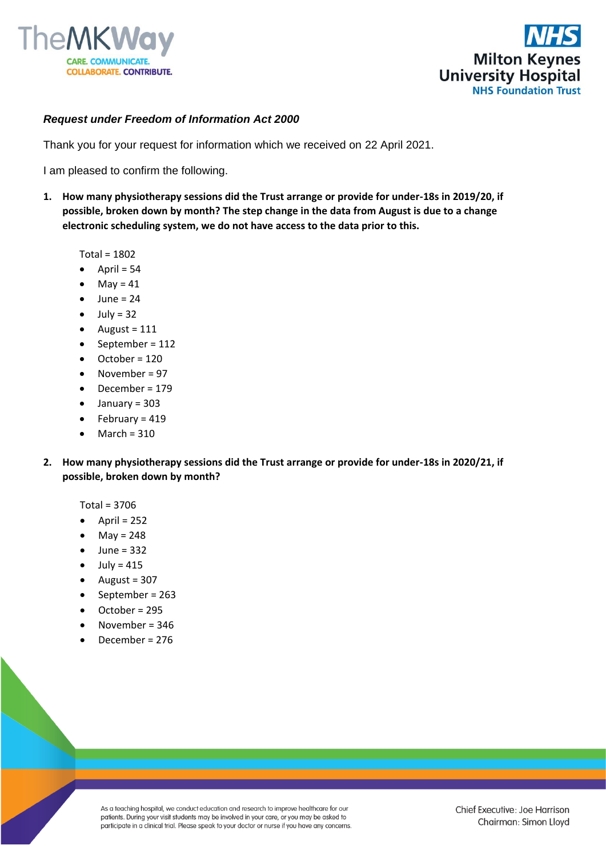



## *Request under Freedom of Information Act 2000*

Thank you for your request for information which we received on 22 April 2021.

I am pleased to confirm the following.

- **1. How many physiotherapy sessions did the Trust arrange or provide for under-18s in 2019/20, if possible, broken down by month? The step change in the data from August is due to a change electronic scheduling system, we do not have access to the data prior to this.**
	- Total = 1802
	- $\bullet$  April = 54
	- $May = 41$
	- $\bullet$  June = 24
	- $July = 32$
	- $\bullet$  August = 111
	- September = 112
	- October = 120
	- November = 97
	- December = 179
	- January = 303
	- $\bullet$  February = 419
	- $•$  March = 310
- **2. How many physiotherapy sessions did the Trust arrange or provide for under-18s in 2020/21, if possible, broken down by month?**

Total = 3706

- $\bullet$  April = 252
- $May = 248$
- $\bullet$  June = 332
- $\bullet$  July = 415
- $\bullet$  August = 307
- September = 263
- October = 295
- November = 346
- December = 276

As a teaching hospital, we conduct education and research to improve healthcare for our patients. During your visit students may be involved in your care, or you may be asked to participate in a clinical trial. Please speak to your doctor or nurse if you have any concerns.